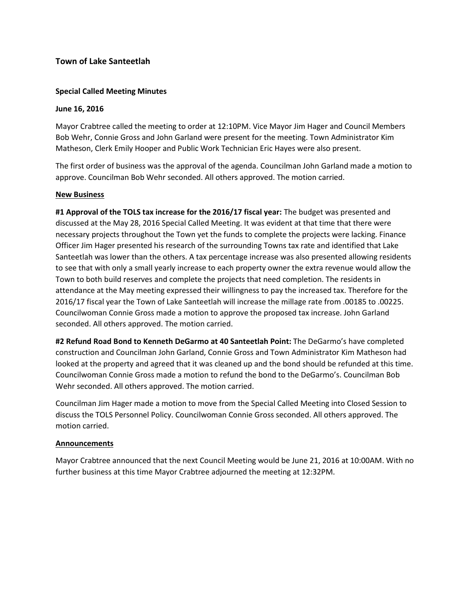# **Town of Lake Santeetlah**

## **Special Called Meeting Minutes**

### **June 16, 2016**

Mayor Crabtree called the meeting to order at 12:10PM. Vice Mayor Jim Hager and Council Members Bob Wehr, Connie Gross and John Garland were present for the meeting. Town Administrator Kim Matheson, Clerk Emily Hooper and Public Work Technician Eric Hayes were also present.

The first order of business was the approval of the agenda. Councilman John Garland made a motion to approve. Councilman Bob Wehr seconded. All others approved. The motion carried.

#### **New Business**

**#1 Approval of the TOLS tax increase for the 2016/17 fiscal year:** The budget was presented and discussed at the May 28, 2016 Special Called Meeting. It was evident at that time that there were necessary projects throughout the Town yet the funds to complete the projects were lacking. Finance Officer Jim Hager presented his research of the surrounding Towns tax rate and identified that Lake Santeetlah was lower than the others. A tax percentage increase was also presented allowing residents to see that with only a small yearly increase to each property owner the extra revenue would allow the Town to both build reserves and complete the projects that need completion. The residents in attendance at the May meeting expressed their willingness to pay the increased tax. Therefore for the 2016/17 fiscal year the Town of Lake Santeetlah will increase the millage rate from .00185 to .00225. Councilwoman Connie Gross made a motion to approve the proposed tax increase. John Garland seconded. All others approved. The motion carried.

**#2 Refund Road Bond to Kenneth DeGarmo at 40 Santeetlah Point:** The DeGarmo's have completed construction and Councilman John Garland, Connie Gross and Town Administrator Kim Matheson had looked at the property and agreed that it was cleaned up and the bond should be refunded at this time. Councilwoman Connie Gross made a motion to refund the bond to the DeGarmo's. Councilman Bob Wehr seconded. All others approved. The motion carried.

Councilman Jim Hager made a motion to move from the Special Called Meeting into Closed Session to discuss the TOLS Personnel Policy. Councilwoman Connie Gross seconded. All others approved. The motion carried.

#### **Announcements**

Mayor Crabtree announced that the next Council Meeting would be June 21, 2016 at 10:00AM. With no further business at this time Mayor Crabtree adjourned the meeting at 12:32PM.